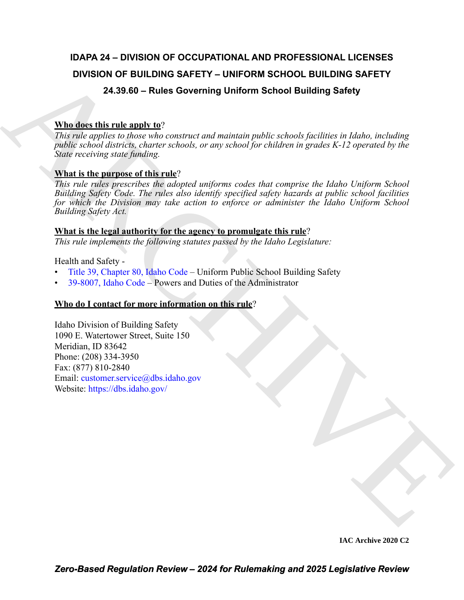## **IDAPA 24 – DIVISION OF OCCUPATIONAL AND PROFESSIONAL LICENSES DIVISION OF BUILDING SAFETY – UNIFORM SCHOOL BUILDING SAFETY 24.39.60 – Rules Governing Uniform School Building Safety**

### **Who does this rule apply to**?

*This rule applies to those who construct and maintain public schools facilities in Idaho, including public school districts, charter schools, or any school for children in grades K-12 operated by the State receiving state funding.*

### **What is the purpose of this rule**?

**DIVISION OF BUILDING SAFETY - UNIFORM S[C](https://legislature.idaho.gov/statutesrules/idstat/Title39/T39CH80/)HOOL BUILDING SAFETY<br>
24.33.60 - Rules Governing Uniform School Building Safety<br>
Whenders this results of the construct and national matrix conditions in the construction of the co** *This rule rules prescribes the adopted uniforms codes that comprise the Idaho Uniform School Building Safety Code. The rules also identify specified safety hazards at public school facilities for which the Division may take action to enforce or administer the Idaho Uniform School Building Safety Act.* 

#### **What is the legal authority for the agency to promulgate this rule**?

*This rule implements the following statutes passed by the Idaho Legislature:*

Health and Safety -

- Title 39, Chapter 80, Idaho Code Uniform Public School Building Safety
- 39-8007, Idaho Code Powers and Duties of the Administrator

#### **Who do I contact for more information on this rule**?

Idaho Division of Building Safety 1090 E. Watertower Street, Suite 150 Meridian, ID 83642 Phone: (208) 334-3950 Fax: (877) 810-2840 Email: customer.service@dbs.idaho.gov Website: https://dbs.idaho.gov/

**IAC Archive 2020 C2**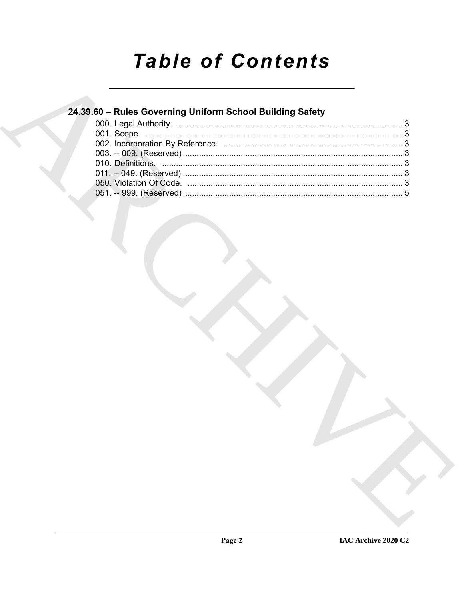# **Table of Contents**

## 24.39.60 - Rules Governing Uniform School Building Safety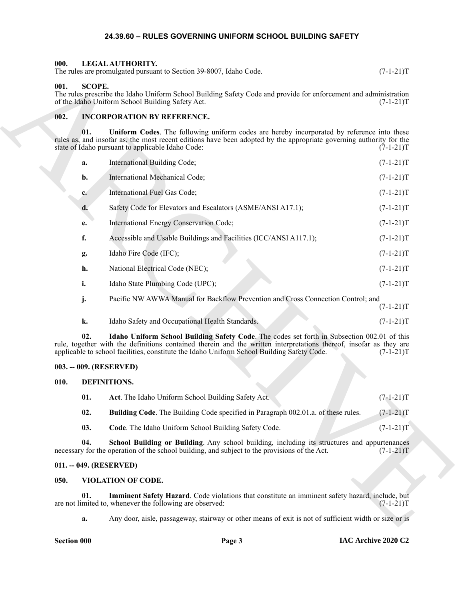#### **24.39.60 – RULES GOVERNING UNIFORM SCHOOL BUILDING SAFETY**

#### <span id="page-2-14"></span><span id="page-2-1"></span><span id="page-2-0"></span>**000. LEGAL AUTHORITY.** The rules are promulgated pursuant to Section 39-8007, Idaho Code. (7-1-21)T

#### <span id="page-2-15"></span><span id="page-2-2"></span>**001. SCOPE.**

The rules prescribe the Idaho Uniform School Building Safety Code and provide for enforcement and administration of the Idaho Uniform School Building Safety Act. (7-1-21) of the Idaho Uniform School Building Safety Act.

#### <span id="page-2-13"></span><span id="page-2-3"></span>**002. INCORPORATION BY REFERENCE.**

**01. Uniform Codes**. The following uniform codes are hereby incorporated by reference into these rules as, and insofar as, the most recent editions have been adopted by the appropriate governing authority for the state of Idaho pursuant to applicable Idaho Code: (7-1-21)T

The stress constrained and Society 20-3007, biological space of the constrained and saling the stress contract the stress contract of the stress contract the stress control of the stress control of the stress control of t **a.** International Building Code; (7-1-21)T **b.** International Mechanical Code; (7-1-21)T **c.** International Fuel Gas Code; (7-1-21)T **d.** Safety Code for Elevators and Escalators (ASME/ANSI A17.1); (7-1-21)T **e.** International Energy Conservation Code;  $(7-1-21)$ T **f.** Accessible and Usable Buildings and Facilities (ICC/ANSI A117.1);  $(7-1-21)$ **g.** Idaho Fire Code (IFC); (7-1-21)T **h.** National Electrical Code (NEC); (7-1-21)T **i.** Idaho State Plumbing Code (UPC); (7-1-21)T **j.** Pacific NW AWWA Manual for Backflow Prevention and Cross Connection Control; and  $(7-1-21)T$ 

**02. Idaho Uniform School Building Safety Code**. The codes set forth in Subsection 002.01 of this

**k.** Idaho Safety and Occupational Health Standards. (7-1-21)T

rule, together with the definitions contained therein and the written interpretations thereof, insofar as they are applicable to school facilities, constitute the Idaho Uniform School Building Safety Code. (7-1-21)T

#### <span id="page-2-4"></span>**003. -- 009. (RESERVED)**

#### <span id="page-2-5"></span>**010. DEFINITIONS.**

<span id="page-2-12"></span><span id="page-2-11"></span><span id="page-2-10"></span><span id="page-2-9"></span><span id="page-2-8"></span>

| 01. | Act. The Idaho Uniform School Building Safety Act.                                       | $(7-1-21)T$ |
|-----|------------------------------------------------------------------------------------------|-------------|
| 02. | <b>Building Code.</b> The Building Code specified in Paragraph 002.01.a. of these rules. | $(7-1-21)T$ |
| 03. | <b>Code.</b> The Idaho Uniform School Building Safety Code.                              | $(7-1-21)T$ |

**04.** School Building or Building. Any school building, including its structures and appurtenances y for the operation of the school building, and subject to the provisions of the Act. (7-1-21) necessary for the operation of the school building, and subject to the provisions of the Act.

#### <span id="page-2-6"></span>**011. -- 049. (RESERVED)**

#### <span id="page-2-16"></span><span id="page-2-7"></span>**050. VIOLATION OF CODE.**

**01.** Imminent Safety Hazard. Code violations that constitute an imminent safety hazard, include, but mited to, whenever the following are observed:  $(7-1-21)T$ are not limited to, whenever the following are observed:

<span id="page-2-17"></span>**a.** Any door, aisle, passageway, stairway or other means of exit is not of sufficient width or size or is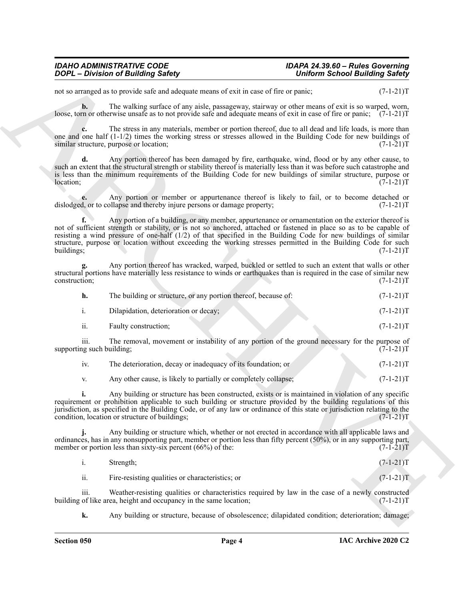#### *IDAHO ADMINISTRATIVE CODE IDAPA 24.39.60 – Rules Governing DOPL – Division of Building Safety Uniform School Building Safety*

not so arranged as to provide safe and adequate means of exit in case of fire or panic;  $(7-1-21)$ T

**b.** The walking surface of any aisle, passageway, stairway or other means of exit is so warped, worn, loose, torn or otherwise unsafe as to not provide safe and adequate means of exit in case of fire or panic; (7-1-21)T

**c.** The stress in any materials, member or portion thereof, due to all dead and life loads, is more than one and one half  $(1-1/2)$  times the working stress or stresses allowed in the Building Code for new buildings of similar structure, purpose or location;  $(7-1-21)$ similar structure, purpose or location;

**d.** Any portion thereof has been damaged by fire, earthquake, wind, flood or by any other cause, to such an extent that the structural strength or stability thereof is materially less than it was before such catastrophe and is less than the minimum requirements of the Building Code for new buildings of similar structure, purpose or location;  $(7-1-21)$ location; (7-1-21)T

Any portion or member or appurtenance thereof is likely to fail, or to become detached or ollapse and thereby injure persons or damage property;  $(7-1-21)$ dislodged, or to collapse and thereby injure persons or damage property;

**2006** - **Division of Building Salety**<br> **2006** - **Control in the state of the state of the state of the state of the state of the state of the state of the state of the state of the state of the state of the state of the f.** Any portion of a building, or any member, appurtenance or ornamentation on the exterior thereof is not of sufficient strength or stability, or is not so anchored, attached or fastened in place so as to be capable of resisting a wind pressure of one-half (1/2) of that specified in the Building Code for new buildings of similar structure, purpose or location without exceeding the working stresses permitted in the Building Code for such<br>vildings;<br>(7-1-21)T buildings; (7-1-21)T

**g.** Any portion thereof has wracked, warped, buckled or settled to such an extent that walls or other structural portions have materially less resistance to winds or earthquakes than is required in the case of similar new construction; (7-1-21)T

| h.  | The building or structure, or any portion thereof, because of: | $(7-1-21)T$ |
|-----|----------------------------------------------------------------|-------------|
|     | Dilapidation, deterioration or decay;                          | $(7-1-21)T$ |
| ii. | Faulty construction:                                           | $(7-1-21)T$ |

iii. The removal, movement or instability of any portion of the ground necessary for the purpose of  $(7-1-21)T$ supporting such building;

| 1V. | The deterioration, decay or inadequacy of its foundation; or    | $(7-1-21)T$ |
|-----|-----------------------------------------------------------------|-------------|
|     | Any other cause, is likely to partially or completely collapse; | $(7-1-21)T$ |

**i.** Any building or structure has been constructed, exists or is maintained in violation of any specific requirement or prohibition applicable to such building or structure provided by the building regulations of this jurisdiction, as specified in the Building Code, or of any law or ordinance of this state or jurisdiction relating to the condition, location or structure of buildings;

**j.** Any building or structure which, whether or not erected in accordance with all applicable laws and ordinances, has in any nonsupporting part, member or portion less than fifty percent (50%), or in any supporting part, member or portion less than sixty-six percent (66%) of the: (7-1-21)T

i. Strength; (7-1-21)T

ii. Fire-resisting qualities or characteristics; or (7-1-21)T

iii. Weather-resisting qualities or characteristics required by law in the case of a newly constructed of like area, height and occupancy in the same location;  $(7-1-21)$ building of like area, height and occupancy in the same location;

**k.** Any building or structure, because of obsolescence; dilapidated condition; deterioration; damage;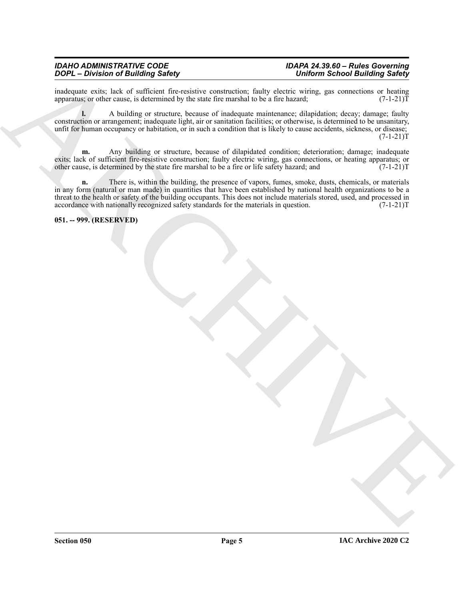#### *IDAHO ADMINISTRATIVE CODE IDAPA 24.39.60 – Rules Governing DOPL – Division of Building Safety Uniform School Building Safety*

inadequate exits; lack of sufficient fire-resistive construction; faulty electric wiring, gas connections or heating apparatus; or other cause, is determined by the state fire marshal to be a fire hazard;  $(7-1-21)$ apparatus; or other cause, is determined by the state fire marshal to be a fire hazard;

**l.** A building or structure, because of inadequate maintenance; dilapidation; decay; damage; faulty construction or arrangement; inadequate light, air or sanitation facilities; or otherwise, is determined to be unsanitary, unfit for human occupancy or habitation, or in such a condition that is likely to cause accidents, sickness, or disease;  $(7-1-21)T$ 

**m.** Any building or structure, because of dilapidated condition; deterioration; damage; inadequate exits; lack of sufficient fire-resistive construction; faulty electric wiring, gas connections, or heating apparatus; or other cause, is determined by the state fire marshal to be a fire or life safety hazard; and  $(7-1-21)T$ 

 $\overrightarrow{BD} = \overrightarrow{BD}$  (i.e. the control of the state of the state of the state of the state of the state of the state of the state of the state of the state of the state of the state of the state of the state of the state of th **n.** There is, within the building, the presence of vapors, fumes, smoke, dusts, chemicals, or materials in any form (natural or man made) in quantities that have been established by national health organizations to be a threat to the health or safety of the building occupants. This does not include materials stored, used, and processed in accordance with nationally recognized safety standards for the materials in question. (7-1-21)T accordance with nationally recognized safety standards for the materials in question.

<span id="page-4-0"></span>**051. -- 999. (RESERVED)**